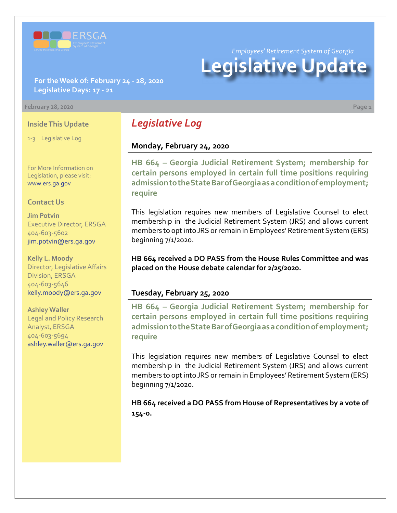

*Employees' Retirement System of Georgia*

# **Legislative Update**

**For the Week of: February 24 - 28, 2020 Legislative Days: 17 - 21**

#### **February 28, 2020 Page 1**

#### **Inside This Update**

1-3 Legislative Log

For More Information on Legislation, please visit: [www.ers.ga.gov](http://www.ers.ga.gov/default.aspx)

#### **Contact Us**

**Jim Potvin** Executive Director, ERSGA 404-603-5602 jim.potvin@ers.ga.gov

**Kelly L. Moody** Director, Legislative Affairs Division, ERSGA 404-603-5646 kelly.moody@ers.ga.gov

**Ashley Waller** Legal and Policy Research Analyst, ERSGA 404-603-5694 ashley.waller@ers.ga.gov

## *Legislative Log*

## **Monday, February 24, 2020**

**HB 664 – Georgia Judicial Retirement System; membership for [certain persons employed in certain full time positions requiring](http://www.legis.ga.gov/legislation/en-US/Display/20192020/HB/664)  admission to the State Bar of Georgia as a condition of employment; require**

This legislation requires new members of Legislative Counsel to elect membership in the Judicial Retirement System (JRS) and allows current members to opt into JRS or remain in Employees' Retirement System (ERS) beginning 7/1/2020.

**HB 664 received a DO PASS from the House Rules Committee and was placed on the House debate calendar for 2/25/2020.**

#### **Tuesday, February 25, 2020**

**HB 664 – Georgia Judicial Retirement System; membership for [certain persons employed in certain full time positions requiring](http://www.legis.ga.gov/legislation/en-US/Display/20192020/HB/664)  admission to the State Bar of Georgia as a condition of employment; require**

This legislation requires new members of Legislative Counsel to elect membership in the Judicial Retirement System (JRS) and allows current members to opt into JRS or remain in Employees' Retirement System (ERS) beginning 7/1/2020.

**HB 664 received a DO PASS from House of Representatives by a vote of 154-0.**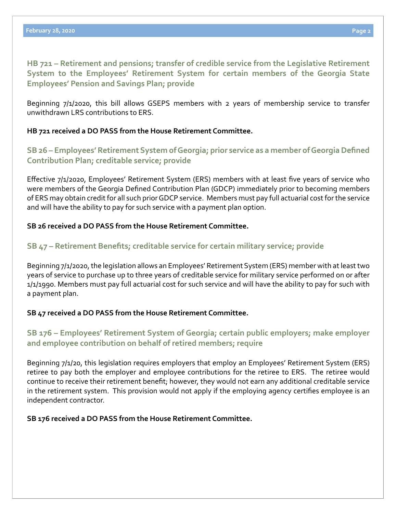**[HB](http://www.legis.ga.gov/legislation/en-US/Display/20192020/HB/721) 721 – [Retirement and pensions; transfer of credible service from the Legislative Retirement](http://www.legis.ga.gov/legislation/en-US/Display/20192020/HB/721)  System to the Employees' Retirement System for certain members of the Georgia State Employees' Pension and Savings Plan; provide**

Beginning 7/1/2020, this bill allows GSEPS members with 2 years of membership service to transfer unwithdrawn LRS contributions to ERS.

## **HB 721 received a DO PASS from the House Retirement Committee.**

## **[SB 26 – Employees' Retirement System of Georgia; prior service as a member of Georgia Defined](http://www.legis.ga.gov/legislation/en-US/Display/20192020/SB/26)  Contribution Plan; creditable service; provide**

Effective 7/1/2020, Employees' Retirement System (ERS) members with at least five years of service who were members of the Georgia Defined Contribution Plan (GDCP) immediately prior to becoming members of ERS may obtain credit for all such prior GDCP service. Members must pay full actuarial cost for the service and will have the ability to pay for such service with a payment plan option.

## **SB 26 received a DO PASS from the House Retirement Committee.**

## **[SB](http://www.legis.ga.gov/legislation/en-US/Display/20192020/SB/47) 47 [– Retirement Benefits; creditable service for certain military service; provide](http://www.legis.ga.gov/legislation/en-US/Display/20192020/SB/47)**

Beginning 7/1/2020, the legislation allows an Employees' Retirement System (ERS) member with at least two years of service to purchase up to three years of creditable service for military service performed on or after 1/1/1990. Members must pay full actuarial cost for such service and will have the ability to pay for such with a payment plan.

## **SB 47 received a DO PASS from the House Retirement Committee.**

## **[SB 176 – Employees' Retirement System of Georgia; certain public employers; make employer](http://www.legis.ga.gov/legislation/en-US/Display/20192020/SB/176)  and employee contribution on behalf of retired members; require**

Beginning 7/1/20, this legislation requires employers that employ an Employees' Retirement System (ERS) retiree to pay both the employer and employee contributions for the retiree to ERS. The retiree would continue to receive their retirement benefit; however, they would not earn any additional creditable service in the retirement system. This provision would not apply if the employing agency certifies employee is an independent contractor.

## **SB 176 received a DO PASS from the House Retirement Committee.**